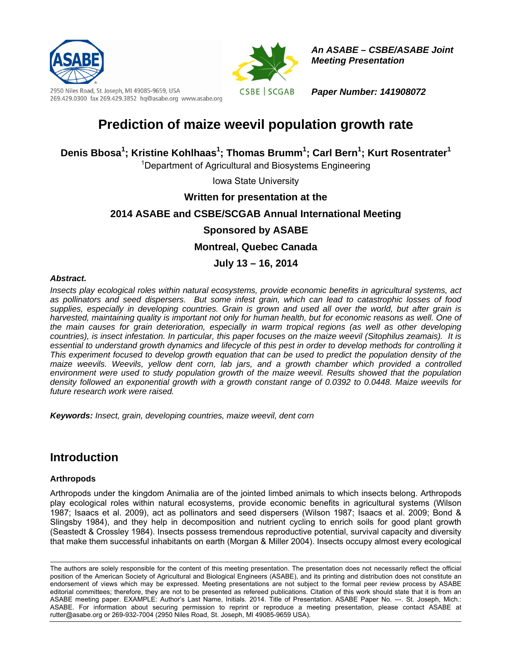

2950 Niles Road, St. Joseph, MI 49085-9659, USA 269.429.0300 fax 269.429.3852 hq@asabe.org www.asabe.org



*An ASABE – CSBE/ASABE Joint Meeting Presentation* 

*Paper Number: 141908072* 

# **Prediction of maize weevil population growth rate**

Denis Bbosa<sup>1</sup>; Kristine Kohlhaas<sup>1</sup>; Thomas Brumm<sup>1</sup>; Carl Bern<sup>1</sup>; Kurt Rosentrater<sup>1</sup>

<sup>1</sup>Department of Agricultural and Biosystems Engineering

Iowa State University

**Written for presentation at the** 

### **2014 ASABE and CSBE/SCGAB Annual International Meeting**

### **Sponsored by ASABE**

**Montreal, Quebec Canada** 

### **July 13 – 16, 2014**

#### *Abstract.*

*Insects play ecological roles within natural ecosystems, provide economic benefits in agricultural systems, act as pollinators and seed dispersers. But some infest grain, which can lead to catastrophic losses of food supplies, especially in developing countries. Grain is grown and used all over the world, but after grain is harvested, maintaining quality is important not only for human health, but for economic reasons as well. One of the main causes for grain deterioration, especially in warm tropical regions (as well as other developing countries), is insect infestation. In particular, this paper focuses on the maize weevil (Sitophilus zeamais). It is*  essential to understand growth dynamics and lifecycle of this pest in order to develop methods for controlling it *This experiment focused to develop growth equation that can be used to predict the population density of the maize weevils. Weevils, yellow dent corn, lab jars, and a growth chamber which provided a controlled environment were used to study population growth of the maize weevil. Results showed that the population density followed an exponential growth with a growth constant range of 0.0392 to 0.0448. Maize weevils for future research work were raised.* 

*Keywords: Insect, grain, developing countries, maize weevil, dent corn* 

## **Introduction**

#### **Arthropods**

Arthropods under the kingdom Animalia are of the jointed limbed animals to which insects belong. Arthropods play ecological roles within natural ecosystems, provide economic benefits in agricultural systems (Wilson 1987; Isaacs et al. 2009), act as pollinators and seed dispersers (Wilson 1987; Isaacs et al. 2009; Bond & Slingsby 1984), and they help in decomposition and nutrient cycling to enrich soils for good plant growth (Seastedt & Crossley 1984). Insects possess tremendous reproductive potential, survival capacity and diversity that make them successful inhabitants on earth (Morgan & Miller 2004). Insects occupy almost every ecological

The authors are solely responsible for the content of this meeting presentation. The presentation does not necessarily reflect the official position of the American Society of Agricultural and Biological Engineers (ASABE), and its printing and distribution does not constitute an endorsement of views which may be expressed. Meeting presentations are not subject to the formal peer review process by ASABE editorial committees; therefore, they are not to be presented as refereed publications. Citation of this work should state that it is from an ASABE meeting paper. EXAMPLE: Author's Last Name, Initials. 2014. Title of Presentation. ASABE Paper No. ---. St. Joseph, Mich.: ASABE. For information about securing permission to reprint or reproduce a meeting presentation, please contact ASABE at rutter@asabe.org or 269-932-7004 (2950 Niles Road, St. Joseph, MI 49085-9659 USA).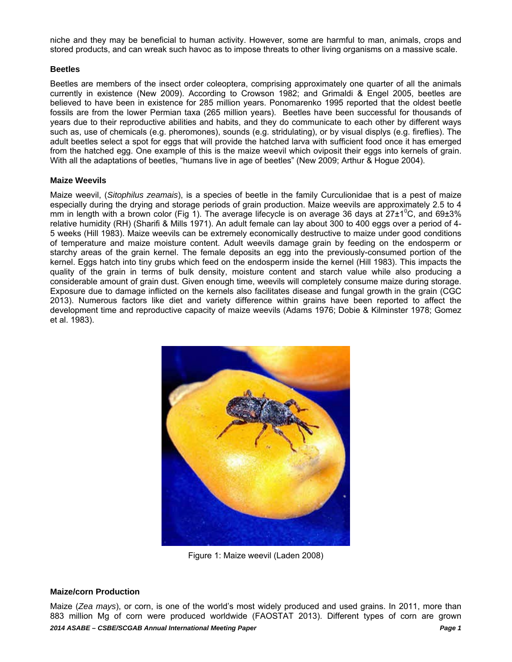niche and they may be beneficial to human activity. However, some are harmful to man, animals, crops and stored products, and can wreak such havoc as to impose threats to other living organisms on a massive scale.

#### **Beetles**

Beetles are members of the insect order coleoptera, comprising approximately one quarter of all the animals currently in existence (New 2009). According to Crowson 1982; and Grimaldi & Engel 2005, beetles are believed to have been in existence for 285 million years. Ponomarenko 1995 reported that the oldest beetle fossils are from the lower Permian taxa (265 million years). Beetles have been successful for thousands of years due to their reproductive abilities and habits, and they do communicate to each other by different ways such as, use of chemicals (e.g. pheromones), sounds (e.g. stridulating), or by visual displys (e.g. fireflies). The adult beetles select a spot for eggs that will provide the hatched larva with sufficient food once it has emerged from the hatched egg. One example of this is the maize weevil which oviposit their eggs into kernels of grain. With all the adaptations of beetles, "humans live in age of beetles" (New 2009; Arthur & Hogue 2004).

#### **Maize Weevils**

Maize weevil, (*Sitophilus zeamais*), is a species of beetle in the family Curculionidae that is a pest of maize especially during the drying and storage periods of grain production. Maize weevils are approximately 2.5 to 4 mm in length with a brown color (Fig 1). The average lifecycle is on average 36 days at  $27\pm1^{\circ}$ C, and 69 $\pm3\%$ relative humidity (RH) (Sharifi & Mills 1971). An adult female can lay about 300 to 400 eggs over a period of 4- 5 weeks (Hill 1983). Maize weevils can be extremely economically destructive to maize under good conditions of temperature and maize moisture content. Adult weevils damage grain by feeding on the endosperm or starchy areas of the grain kernel. The female deposits an egg into the previously-consumed portion of the kernel. Eggs hatch into tiny grubs which feed on the endosperm inside the kernel (Hill 1983). This impacts the quality of the grain in terms of bulk density, moisture content and starch value while also producing a considerable amount of grain dust. Given enough time, weevils will completely consume maize during storage. Exposure due to damage inflicted on the kernels also facilitates disease and fungal growth in the grain (CGC 2013). Numerous factors like diet and variety difference within grains have been reported to affect the development time and reproductive capacity of maize weevils (Adams 1976; Dobie & Kilminster 1978; Gomez et al. 1983).



Figure 1: Maize weevil (Laden 2008)

#### **Maize/corn Production**

*2014 ASABE – CSBE/SCGAB Annual International Meeting Paper Page 1*  Maize (*Zea mays*), or corn, is one of the world's most widely produced and used grains. In 2011, more than 883 million Mg of corn were produced worldwide (FAOSTAT 2013). Different types of corn are grown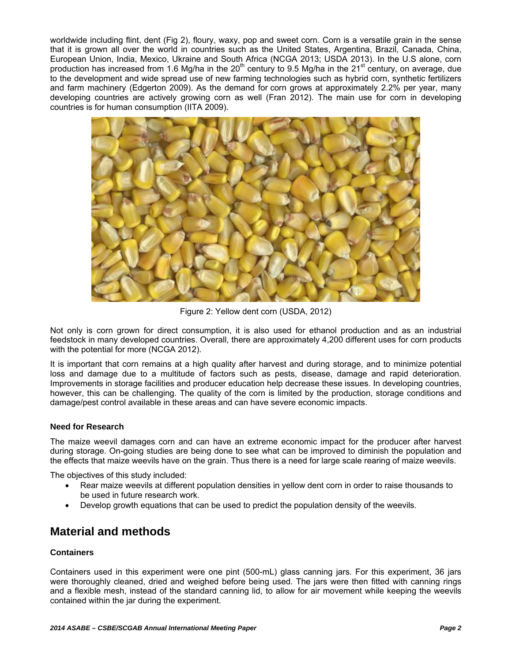worldwide including flint, dent (Fig 2), floury, waxy, pop and sweet corn. Corn is a versatile grain in the sense that it is grown all over the world in countries such as the United States, Argentina, Brazil, Canada, China, European Union, India, Mexico, Ukraine and South Africa (NCGA 2013; USDA 2013). In the U.S alone, corn production has increased from 1.6 Mg/ha in the  $20<sup>th</sup>$  century to 9.5 Mg/ha in the  $21<sup>st</sup>$  century, on average, due to the development and wide spread use of new farming technologies such as hybrid corn, synthetic fertilizers and farm machinery (Edgerton 2009). As the demand for corn grows at approximately 2.2% per year, many developing countries are actively growing corn as well (Fran 2012). The main use for corn in developing countries is for human consumption (IITA 2009).



Figure 2: Yellow dent corn (USDA, 2012)

Not only is corn grown for direct consumption, it is also used for ethanol production and as an industrial feedstock in many developed countries. Overall, there are approximately 4,200 different uses for corn products with the potential for more (NCGA 2012).

It is important that corn remains at a high quality after harvest and during storage, and to minimize potential loss and damage due to a multitude of factors such as pests, disease, damage and rapid deterioration. Improvements in storage facilities and producer education help decrease these issues. In developing countries, however, this can be challenging. The quality of the corn is limited by the production, storage conditions and damage/pest control available in these areas and can have severe economic impacts.

### **Need for Research**

The maize weevil damages corn and can have an extreme economic impact for the producer after harvest during storage. On-going studies are being done to see what can be improved to diminish the population and the effects that maize weevils have on the grain. Thus there is a need for large scale rearing of maize weevils.

The objectives of this study included:

- Rear maize weevils at different population densities in yellow dent corn in order to raise thousands to be used in future research work.
- Develop growth equations that can be used to predict the population density of the weevils.

## **Material and methods**

#### **Containers**

Containers used in this experiment were one pint (500-mL) glass canning jars. For this experiment, 36 jars were thoroughly cleaned, dried and weighed before being used. The jars were then fitted with canning rings and a flexible mesh, instead of the standard canning lid, to allow for air movement while keeping the weevils contained within the jar during the experiment.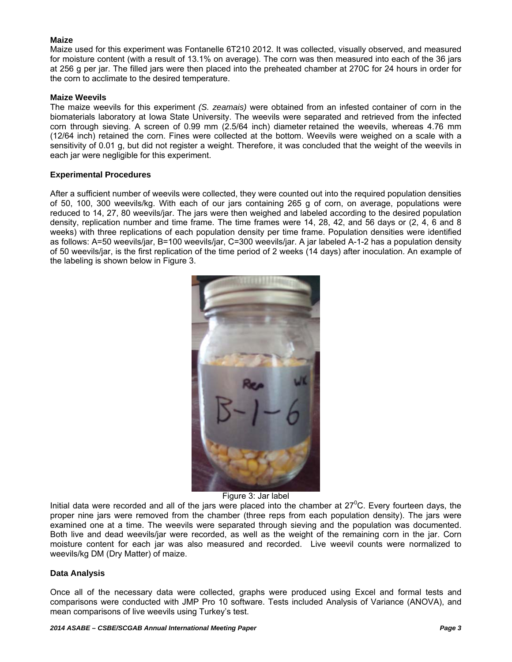#### **Maize**

Maize used for this experiment was Fontanelle 6T210 2012. It was collected, visually observed, and measured for moisture content (with a result of 13.1% on average). The corn was then measured into each of the 36 jars at 256 g per jar. The filled jars were then placed into the preheated chamber at 270C for 24 hours in order for the corn to acclimate to the desired temperature.

#### **Maize Weevils**

The maize weevils for this experiment *(S. zeamais)* were obtained from an infested container of corn in the biomaterials laboratory at Iowa State University. The weevils were separated and retrieved from the infected corn through sieving. A screen of 0.99 mm (2.5/64 inch) diameter retained the weevils, whereas 4.76 mm (12/64 inch) retained the corn. Fines were collected at the bottom. Weevils were weighed on a scale with a sensitivity of 0.01 g, but did not register a weight. Therefore, it was concluded that the weight of the weevils in each jar were negligible for this experiment.

#### **Experimental Procedures**

After a sufficient number of weevils were collected, they were counted out into the required population densities of 50, 100, 300 weevils/kg. With each of our jars containing 265 g of corn, on average, populations were reduced to 14, 27, 80 weevils/jar. The jars were then weighed and labeled according to the desired population density, replication number and time frame. The time frames were 14, 28, 42, and 56 days or (2, 4, 6 and 8 weeks) with three replications of each population density per time frame. Population densities were identified as follows: A=50 weevils/jar, B=100 weevils/jar, C=300 weevils/jar. A jar labeled A-1-2 has a population density of 50 weevils/jar, is the first replication of the time period of 2 weeks (14 days) after inoculation. An example of the labeling is shown below in Figure 3.



Figure 3: Jar label

Initial data were recorded and all of the jars were placed into the chamber at  $27^{\circ}$ C. Every fourteen days, the proper nine jars were removed from the chamber (three reps from each population density). The jars were examined one at a time. The weevils were separated through sieving and the population was documented. Both live and dead weevils/jar were recorded, as well as the weight of the remaining corn in the jar. Corn moisture content for each jar was also measured and recorded. Live weevil counts were normalized to weevils/kg DM (Dry Matter) of maize.

#### **Data Analysis**

Once all of the necessary data were collected, graphs were produced using Excel and formal tests and comparisons were conducted with JMP Pro 10 software. Tests included Analysis of Variance (ANOVA), and mean comparisons of live weevils using Turkey's test.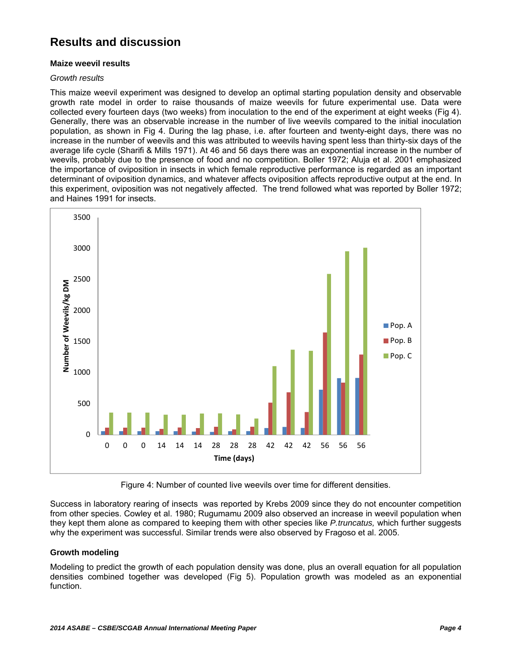## **Results and discussion**

#### **Maize weevil results**

#### *Growth results*

This maize weevil experiment was designed to develop an optimal starting population density and observable growth rate model in order to raise thousands of maize weevils for future experimental use. Data were collected every fourteen days (two weeks) from inoculation to the end of the experiment at eight weeks (Fig 4). Generally, there was an observable increase in the number of live weevils compared to the initial inoculation population, as shown in Fig 4. During the lag phase, i.e. after fourteen and twenty-eight days, there was no increase in the number of weevils and this was attributed to weevils having spent less than thirty-six days of the average life cycle (Sharifi & Mills 1971). At 46 and 56 days there was an exponential increase in the number of weevils, probably due to the presence of food and no competition. Boller 1972; Aluja et al. 2001 emphasized the importance of oviposition in insects in which female reproductive performance is regarded as an important determinant of oviposition dynamics, and whatever affects oviposition affects reproductive output at the end. In this experiment, oviposition was not negatively affected. The trend followed what was reported by Boller 1972; and Haines 1991 for insects.



Figure 4: Number of counted live weevils over time for different densities.

Success in laboratory rearing of insects was reported by Krebs 2009 since they do not encounter competition from other species. Cowley et al. 1980; Rugumamu 2009 also observed an increase in weevil population when they kept them alone as compared to keeping them with other species like *P.truncatus,* which further suggests why the experiment was successful. Similar trends were also observed by Fragoso et al. 2005.

#### **Growth modeling**

Modeling to predict the growth of each population density was done, plus an overall equation for all population densities combined together was developed (Fig 5). Population growth was modeled as an exponential function.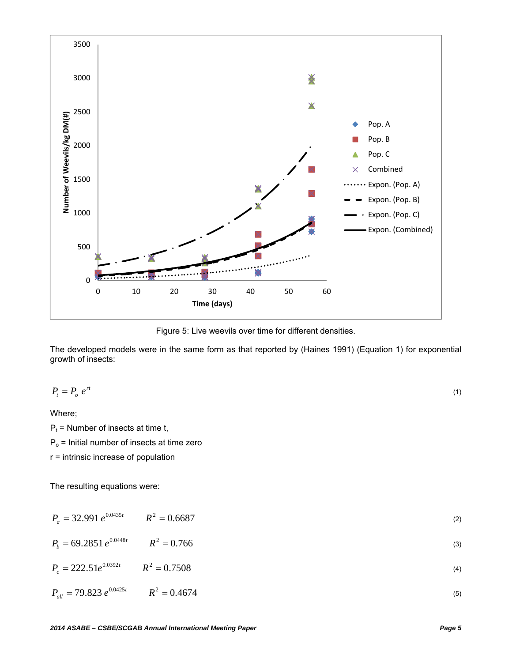

Figure 5: Live weevils over time for different densities.

The developed models were in the same form as that reported by (Haines 1991) (Equation 1) for exponential growth of insects:

$$
P_t = P_o e^{rt} \tag{1}
$$

Where;

 $P_t$  = Number of insects at time t,

 $P<sub>o</sub>$  = Initial number of insects at time zero

r = intrinsic increase of population

The resulting equations were:

| $P_a = 32.991 e^{0.0435t}$ $R^2 = 0.6687$ |  |  |
|-------------------------------------------|--|--|
|-------------------------------------------|--|--|

 $P_b = 69.2851 \, e^{0.0448t}$   $R^2 = 0.766$  (3)

 $P_c = 222.51 e^{0.0392t}$   $R^2 = 0.7508$  (4)

$$
P_{all} = 79.823 \ e^{0.0425t} \qquad R^2 = 0.4674 \tag{5}
$$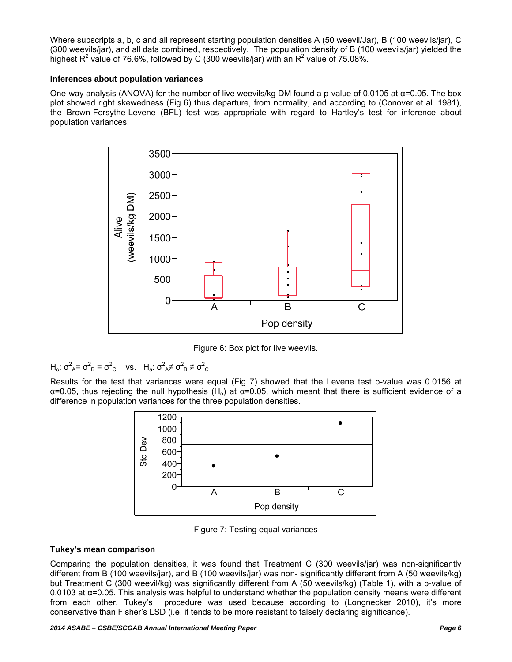Where subscripts a, b, c and all represent starting population densities A (50 weevil/Jar), B (100 weevils/jar), C (300 weevils/jar), and all data combined, respectively. The population density of B (100 weevils/jar) yielded the highest R<sup>2</sup> value of 76.6%, followed by C (300 weevils/jar) with an R<sup>2</sup> value of 75.08%.

#### **Inferences about population variances**

One-way analysis (ANOVA) for the number of live weevils/kg DM found a p-value of 0.0105 at α=0.05. The box plot showed right skewedness (Fig 6) thus departure, from normality, and according to (Conover et al. 1981), the Brown-Forsythe-Levene (BFL) test was appropriate with regard to Hartley's test for inference about population variances:



Figure 6: Box plot for live weevils.

$$
H_o: \sigma^2_A = \sigma^2_B = \sigma^2_C
$$
 vs.  $H_a: \sigma^2_A \neq \sigma^2_B \neq \sigma^2_C$ 

Results for the test that variances were equal (Fig 7) showed that the Levene test p-value was 0.0156 at  $\alpha$ =0.05, thus rejecting the null hypothesis (H<sub>o</sub>) at  $\alpha$ =0.05, which meant that there is sufficient evidence of a difference in population variances for the three population densities.



Figure 7: Testing equal variances

#### **Tukey's mean comparison**

Comparing the population densities, it was found that Treatment C (300 weevils/jar) was non-significantly different from B (100 weevils/jar), and B (100 weevils/jar) was non- significantly different from A (50 weevils/kg) but Treatment C (300 weevil/kg) was significantly different from A (50 weevils/kg) (Table 1), with a p-value of 0.0103 at α=0.05. This analysis was helpful to understand whether the population density means were different from each other. Tukey's procedure was used because according to (Longnecker 2010), it's more conservative than Fisher's LSD (i.e. it tends to be more resistant to falsely declaring significance).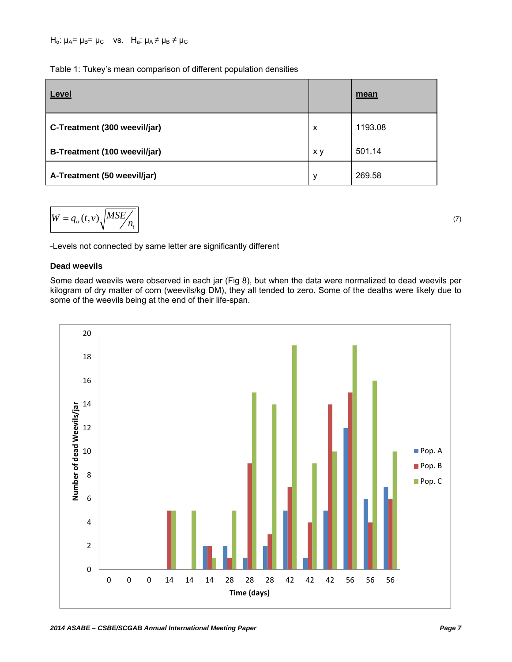|  | Table 1: Tukey's mean comparison of different population densities |
|--|--------------------------------------------------------------------|
|  |                                                                    |

| Level                        |     | mean    |
|------------------------------|-----|---------|
| C-Treatment (300 weevil/jar) | X   | 1193.08 |
| B-Treatment (100 weevil/jar) | x y | 501.14  |
| A-Treatment (50 weevil/jar)  | y   | 269.58  |

$$
W = q_{\alpha}(t, v) \sqrt{MSE / n_{t}} \tag{7}
$$

-Levels not connected by same letter are significantly different

#### **Dead weevils**

Some dead weevils were observed in each jar (Fig 8), but when the data were normalized to dead weevils per kilogram of dry matter of corn (weevils/kg DM), they all tended to zero. Some of the deaths were likely due to some of the weevils being at the end of their life-span.

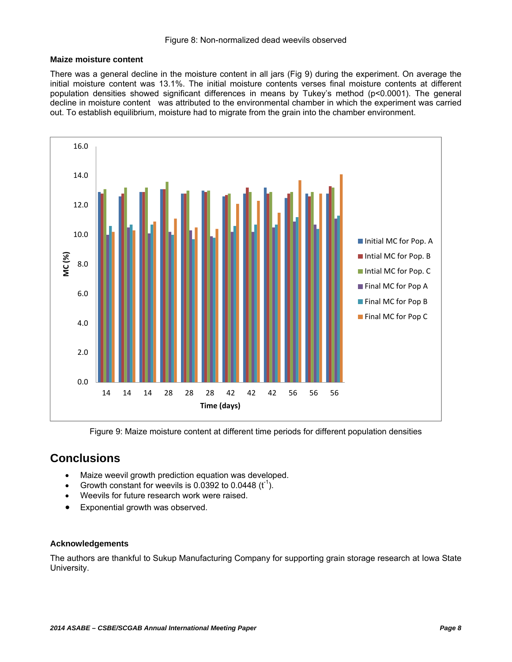#### **Maize moisture content**

There was a general decline in the moisture content in all jars (Fig 9) during the experiment. On average the initial moisture content was 13.1%. The initial moisture contents verses final moisture contents at different population densities showed significant differences in means by Tukey's method (p<0.0001). The general decline in moisture content was attributed to the environmental chamber in which the experiment was carried out. To establish equilibrium, moisture had to migrate from the grain into the chamber environment.



Figure 9: Maize moisture content at different time periods for different population densities

## **Conclusions**

- Maize weevil growth prediction equation was developed.
- Growth constant for weevils is 0.0392 to 0.0448  $(t^{-1})$ .
- Weevils for future research work were raised.
- Exponential growth was observed.

#### **Acknowledgements**

The authors are thankful to Sukup Manufacturing Company for supporting grain storage research at Iowa State University.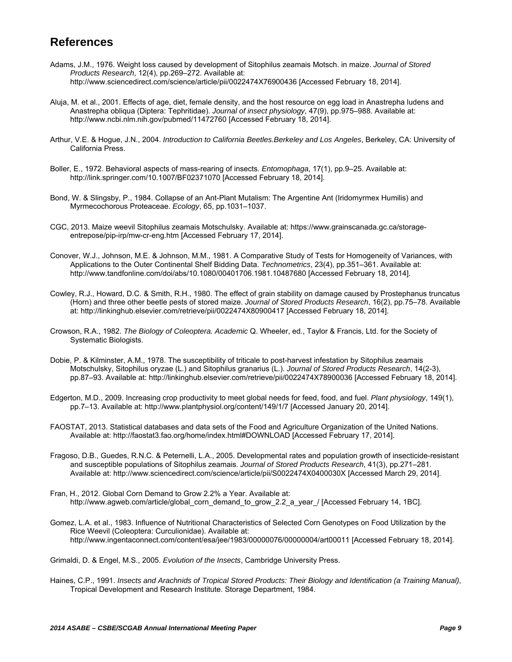## **References**

- Adams, J.M., 1976. Weight loss caused by development of Sitophilus zeamais Motsch. in maize. *Journal of Stored Products Research*, 12(4), pp.269–272. Available at: http://www.sciencedirect.com/science/article/pii/0022474X76900436 [Accessed February 18, 2014].
- Aluja, M. et al., 2001. Effects of age, diet, female density, and the host resource on egg load in Anastrepha ludens and Anastrepha obliqua (Diptera: Tephritidae). *Journal of insect physiology*, 47(9), pp.975–988. Available at: http://www.ncbi.nlm.nih.gov/pubmed/11472760 [Accessed February 18, 2014].
- Arthur, V.E. & Hogue, J.N., 2004. *Introduction to California Beetles.Berkeley and Los Angeles*, Berkeley, CA: University of California Press.
- Boller, E., 1972. Behavioral aspects of mass-rearing of insects. *Entomophaga*, 17(1), pp.9–25. Available at: http://link.springer.com/10.1007/BF02371070 [Accessed February 18, 2014].
- Bond, W. & Slingsby, P., 1984. Collapse of an Ant-Plant Mutalism: The Argentine Ant (Iridomyrmex Humilis) and Myrmecochorous Proteaceae. *Ecology*, 65, pp.1031–1037.
- CGC, 2013. Maize weevil Sitophilus zeamais Motschulsky. Available at: https://www.grainscanada.gc.ca/storageentrepose/pip-irp/mw-cr-eng.htm [Accessed February 17, 2014].
- Conover, W.J., Johnson, M.E. & Johnson, M.M., 1981. A Comparative Study of Tests for Homogeneity of Variances, with Applications to the Outer Continental Shelf Bidding Data. *Technometrics*, 23(4), pp.351–361. Available at: http://www.tandfonline.com/doi/abs/10.1080/00401706.1981.10487680 [Accessed February 18, 2014].
- Cowley, R.J., Howard, D.C. & Smith, R.H., 1980. The effect of grain stability on damage caused by Prostephanus truncatus (Horn) and three other beetle pests of stored maize. *Journal of Stored Products Research*, 16(2), pp.75–78. Available at: http://linkinghub.elsevier.com/retrieve/pii/0022474X80900417 [Accessed February 18, 2014].
- Crowson, R.A., 1982. *The Biology of Coleoptera. Academic* Q. Wheeler, ed., Taylor & Francis, Ltd. for the Society of Systematic Biologists.
- Dobie, P. & Kilminster, A.M., 1978. The susceptibility of triticale to post-harvest infestation by Sitophilus zeamais Motschulsky, Sitophilus oryzae (L.) and Sitophilus granarius (L.). *Journal of Stored Products Research*, 14(2-3), pp.87–93. Available at: http://linkinghub.elsevier.com/retrieve/pii/0022474X78900036 [Accessed February 18, 2014].
- Edgerton, M.D., 2009. Increasing crop productivity to meet global needs for feed, food, and fuel. *Plant physiology*, 149(1), pp.7–13. Available at: http://www.plantphysiol.org/content/149/1/7 [Accessed January 20, 2014].
- FAOSTAT, 2013. Statistical databases and data sets of the Food and Agriculture Organization of the United Nations. Available at: http://faostat3.fao.org/home/index.html#DOWNLOAD [Accessed February 17, 2014].
- Fragoso, D.B., Guedes, R.N.C. & Peternelli, L.A., 2005. Developmental rates and population growth of insecticide-resistant and susceptible populations of Sitophilus zeamais. *Journal of Stored Products Research*, 41(3), pp.271–281. Available at: http://www.sciencedirect.com/science/article/pii/S0022474X0400030X [Accessed March 29, 2014].
- Fran, H., 2012. Global Corn Demand to Grow 2.2% a Year. Available at: http://www.agweb.com/article/global\_corn\_demand\_to\_grow\_2.2\_a\_year\_/ [Accessed February 14, 1BC].
- Gomez, L.A. et al., 1983. Influence of Nutritional Characteristics of Selected Corn Genotypes on Food Utilization by the Rice Weevil (Coleoptera: Curculionidae). Available at: http://www.ingentaconnect.com/content/esa/jee/1983/00000076/00000004/art00011 [Accessed February 18, 2014].

Grimaldi, D. & Engel, M.S., 2005. *Evolution of the Insects*, Cambridge University Press.

Haines, C.P., 1991. *Insects and Arachnids of Tropical Stored Products: Their Biology and Identification (a Training Manual)*, Tropical Development and Research Institute. Storage Department, 1984.